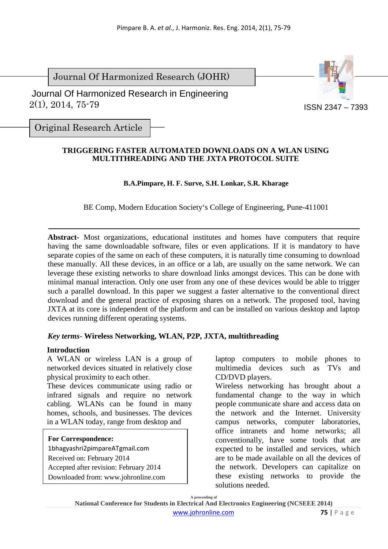Journal Of Harmonized Research (JOHR)

 $2(1), 2014, 75-79$ Journal Of Harmonized Research in Engineering



ISSN 2347 – 7393

Original Research Article

### **TRIGGERING FASTER AUTOMATED DOWNLOADS ON A WLAN USING MULTITHREADING AND THE JXTA PROTOCOL SUITE**

## **B.A.Pimpare, H. F. Surve, S.H. Lonkar, S.R. Kharage**

BE Comp, Modern Education Society's College of Engineering, Pune-411001

**Abstract-** Most organizations, educational institutes and homes have computers that require having the same downloadable software, files or even applications. If it is mandatory to have separate copies of the same on each of these computers, it is naturally time consuming to download these manually. All these devices, in an office or a lab, are usually on the same network. We can leverage these existing networks to share download links amongst devices. This can be done with minimal manual interaction. Only one user from any one of these devices would be able to trigger such a parallel download. In this paper we suggest a faster alternative to the conventional direct download and the general practice of exposing shares on a network. The proposed tool, having JXTA at its core is independent of the platform and can be installed on various desktop and laptop devices running different operating systems.

## *Key terms*- **Wireless Networking, WLAN, P2P, JXTA, multithreading**

#### **Introduction**

A WLAN or wireless LAN is a group of networked devices situated in relatively close physical proximity to each other.

These devices communicate using radio or infrared signals and require no network cabling. WLANs can be found in many homes, schools, and businesses. The devices in a WLAN today, range from desktop and

#### **For Correspondence:**

1bhagyashri2pimpareATgmail.com Received on: February 2014 Accepted after revision: February 2014 Downloaded from: www.johronline.com laptop computers to mobile phones to multimedia devices such as TVs and CD/DVD players.

Wireless networking has brought about a fundamental change to the way in which people communicate share and access data on the network and the Internet. University campus networks, computer laboratories, office intranets and home networks; all conventionally, have some tools that are expected to be installed and services, which are to be made available on all the devices of the network. Developers can capitalize on these existing networks to provide the solutions needed.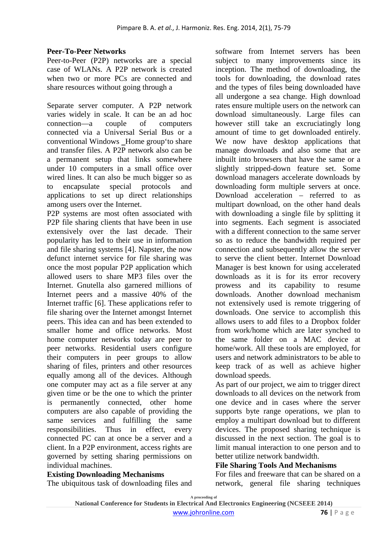## **Peer-To-Peer Networks**

Peer-to-Peer (P2P) networks are a special case of WLANs. A P2P network is created when two or more PCs are connected and share resources without going through a

Separate server computer. A P2P network varies widely in scale. It can be an ad hoc connection—a couple of computers connected via a Universal Serial Bus or a conventional Windows Home group to share and transfer files. A P2P network also can be a permanent setup that links somewhere under 10 computers in a small office over wired lines. It can also be much bigger so as to encapsulate special protocols and applications to set up direct relationships among users over the Internet.

P2P systems are most often associated with P2P file sharing clients that have been in use extensively over the last decade. Their popularity has led to their use in information and file sharing systems [4]. Napster, the now defunct internet service for file sharing was once the most popular P2P application which allowed users to share MP3 files over the Internet. Gnutella also garnered millions of Internet peers and a massive 40% of the Internet traffic [6]. These applications refer to file sharing over the Internet amongst Internet peers. This idea can and has been extended to smaller home and office networks. Most home computer networks today are peer to peer networks. Residential users configure their computers in peer groups to allow sharing of files, printers and other resources equally among all of the devices. Although one computer may act as a file server at any given time or be the one to which the printer is permanently connected, other home computers are also capable of providing the same services and fulfilling the same responsibilities. Thus in effect, every connected PC can at once be a server and a client. In a P2P environment, access rights are governed by setting sharing permissions on individual machines.

#### **Existing Downloading Mechanisms**  The ubiquitous task of downloading files and

software from Internet servers has been subject to many improvements since its inception. The method of downloading, the tools for downloading, the download rates and the types of files being downloaded have all undergone a sea change. High download rates ensure multiple users on the network can download simultaneously. Large files can however still take an excruciatingly long amount of time to get downloaded entirely. We now have desktop applications that manage downloads and also some that are inbuilt into browsers that have the same or a slightly stripped-down feature set. Some download managers accelerate downloads by downloading form multiple servers at once. Download acceleration – referred to as multipart download, on the other hand deals with downloading a single file by splitting it into segments. Each segment is associated with a different connection to the same server so as to reduce the bandwidth required per connection and subsequently allow the server to serve the client better. Internet Download Manager is best known for using accelerated downloads as it is for its error recovery prowess and its capability to resume downloads. Another download mechanism not extensively used is remote triggering of downloads. One service to accomplish this allows users to add files to a Dropbox folder from work/home which are later synched to the same folder on a MAC device at home/work. All these tools are employed, for users and network administrators to be able to keep track of as well as achieve higher download speeds.

As part of our project, we aim to trigger direct downloads to all devices on the network from one device and in cases where the server supports byte range operations, we plan to employ a multipart download but to different devices. The proposed sharing technique is discussed in the next section. The goal is to limit manual interaction to one person and to better utilize network bandwidth.

#### **File Sharing Tools And Mechanisms**

For files and freeware that can be shared on a network, general file sharing techniques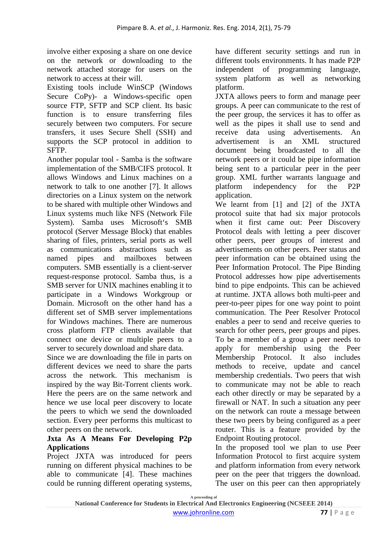involve either exposing a share on one device on the network or downloading to the network attached storage for users on the network to access at their will.

Existing tools include WinSCP (Windows Secure CoPy)- a Windows-specific open source FTP, SFTP and SCP client. Its basic function is to ensure transferring files securely between two computers. For secure transfers, it uses Secure Shell (SSH) and supports the SCP protocol in addition to SFTP.

Another popular tool - Samba is the software implementation of the SMB/CIFS protocol. It allows Windows and Linux machines on a network to talk to one another [7]. It allows directories on a Linux system on the network to be shared with multiple other Windows and Linux systems much like NFS (Network File System). Samba uses Microsoft's SMB protocol (Server Message Block) that enables sharing of files, printers, serial ports as well as communications abstractions such as named pipes and mailboxes between computers. SMB essentially is a client-server request-response protocol. Samba thus, is a SMB server for UNIX machines enabling it to participate in a Windows Workgroup or Domain. Microsoft on the other hand has a different set of SMB server implementations for Windows machines. There are numerous cross platform FTP clients available that connect one device or multiple peers to a server to securely download and share data.

Since we are downloading the file in parts on different devices we need to share the parts across the network. This mechanism is inspired by the way Bit-Torrent clients work. Here the peers are on the same network and hence we use local peer discovery to locate the peers to which we send the downloaded section. Every peer performs this multicast to other peers on the network.

## **Jxta As A Means For Developing P2p Applications**

Project JXTA was introduced for peers running on different physical machines to be able to communicate [4]. These machines could be running different operating systems,

have different security settings and run in different tools environments. It has made P2P independent of programming language, system platform as well as networking platform.

JXTA allows peers to form and manage peer groups. A peer can communicate to the rest of the peer group, the services it has to offer as well as the pipes it shall use to send and receive data using advertisements. An advertisement is an XML structured document being broadcasted to all the network peers or it could be pipe information being sent to a particular peer in the peer group. XML further warrants language and platform independency for the P2P application.

We learnt from [1] and [2] of the JXTA protocol suite that had six major protocols when it first came out: Peer Discovery Protocol deals with letting a peer discover other peers, peer groups of interest and advertisements on other peers. Peer status and peer information can be obtained using the Peer Information Protocol. The Pipe Binding Protocol addresses how pipe advertisements bind to pipe endpoints. This can be achieved at runtime. JXTA allows both multi-peer and peer-to-peer pipes for one way point to point communication. The Peer Resolver Protocol enables a peer to send and receive queries to search for other peers, peer groups and pipes. To be a member of a group a peer needs to apply for membership using the Peer Membership Protocol. It also includes methods to receive, update and cancel membership credentials. Two peers that wish to communicate may not be able to reach each other directly or may be separated by a firewall or NAT. In such a situation any peer on the network can route a message between these two peers by being configured as a peer router. This is a feature provided by the Endpoint Routing protocol.

In the proposed tool we plan to use Peer Information Protocol to first acquire system and platform information from every network peer on the peer that triggers the download. The user on this peer can then appropriately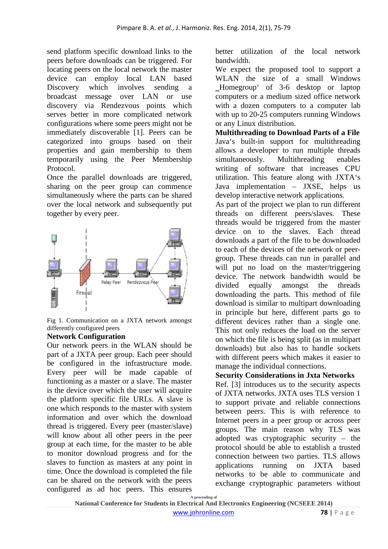send platform specific download links to the peers before downloads can be triggered. For locating peers on the local network the master device can employ local LAN based Discovery which involves sending a broadcast message over LAN or use discovery via Rendezvous points which serves better in more complicated network configurations where some peers might not be immediately discoverable [1]. Peers can be categorized into groups based on their properties and gain membership to them temporarily using the Peer Membership Protocol.

Once the parallel downloads are triggered, sharing on the peer group can commence simultaneously where the parts can be shared over the local network and subsequently put together by every peer.



Fig 1. Communication on a JXTA network amongst differently configured peers

## **Network Configuration**

Our network peers in the WLAN should be part of a JXTA peer group. Each peer should be configured in the infrastructure mode. Every peer will be made capable of functioning as a master or a slave. The master is the device over which the user will acquire the platform specific file URLs. A slave is one which responds to the master with system information and over which the download thread is triggered. Every peer (master/slave) will know about all other peers in the peer group at each time, for the master to be able to monitor download progress and for the slaves to function as masters at any point in time. Once the download is completed the file can be shared on the network with the peers configured as ad hoc peers. This ensures

better utilization of the local network bandwidth.

We expect the proposed tool to support a WLAN the size of a small Windows ‗Homegroup' of 3-6 desktop or laptop computers or a medium sized office network with a dozen computers to a computer lab with up to 20-25 computers running Windows or any Linux distribution.

**Multithreading to Download Parts of a File**  Java's built-in support for multithreading allows a developer to run multiple threads simultaneously. Multithreading enables writing of software that increases CPU utilization. This feature along with JXTA's Java implementation – JXSE, helps us develop interactive network applications.

As part of the project we plan to run different threads on different peers/slaves. These threads would be triggered from the master device on to the slaves. Each thread downloads a part of the file to be downloaded to each of the devices of the network or peergroup. These threads can run in parallel and will put no load on the master/triggering device. The network bandwidth would be divided equally amongst the threads downloading the parts. This method of file download is similar to multipart downloading in principle but here, different parts go to different devices rather than a single one. This not only reduces the load on the server on which the file is being split (as in multipart downloads) but also has to handle sockets with different peers which makes it easier to manage the individual connections.

# **Security Considerations in Jxta Networks**

Ref. [3] introduces us to the security aspects of JXTA networks. JXTA uses TLS version 1 to support private and reliable connections between peers. This is with reference to Internet peers in a peer group or across peer groups. The main reason why TLS was adopted was cryptographic security – the protocol should be able to establish a trusted connection between two parties. TLS allows applications running on JXTA based networks to be able to communicate and exchange cryptographic parameters without